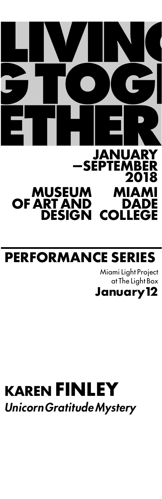# <u>\_\_MUSEUM</u> MIAMI **DADE COLLEGE MUSEUM OF ART AND DESIGN JANUARY —SEPTEMBER 2018**

### **PERFORMANCE SERIES**

Miami Light Project at The Light Box **January12**

# **KAREN FINLEY** *UnicornGratitude Mystery*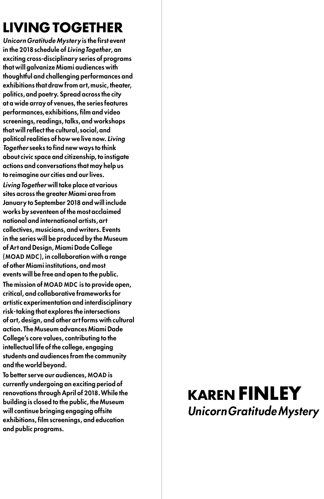## **LIVING TOGETHER**

*Unicorn Gratitude Mystery* is the first event in the 2018 schedule of *LivingTogether*, an exciting cross-disciplinary series of programs that will galvanize Miami audiences with thoughtful and challenging performances and exhibitions that draw from art, music, theater, politics,and poetry. Spread across the city at a wide array of venues, the series features performances, exhibitions, film and video screenings, readings, talks, and workshops that will reflect the cultural, social, and political realities of how we live now. Living *Together* seeks to find new ways to think about civic space and citizenship, to instigate actions and conversations that may help us to reimagine our cities and our lives. *LivingTogether* will take place at various sites across the greater Miami area from January to September 2018 and will include works by seventeen of the most acclaimed national and international artists,art collectives, musicians, and writers. Events in the series will be produced by the Museum of Art and Design, Miami Dade College ( MOAD MDC ), in collaboration with a range of other Miami institutions, and most events will be free and open to the public.

The mission of MOAD MDC is to provide open, critical, and collaborative frameworks for artistic experimentation and interdisciplinary risk-taking that explores the intersections of art, design, and other art forms with cultural action. The Museum advances Miami Dade College's core values, contributing to the intellectual life of the college, engaging students and audiences from the community and the world beyond.

To better serve our audiences, MOAD is currently undergoing an exciting period of renovations through April of 2018.While the building is closed to the public, the Museum will continue bringing engaging offsite exhibitions, film screenings, and education and public programs.

### **KAREN FINLEY** *UnicornGratitude Mystery*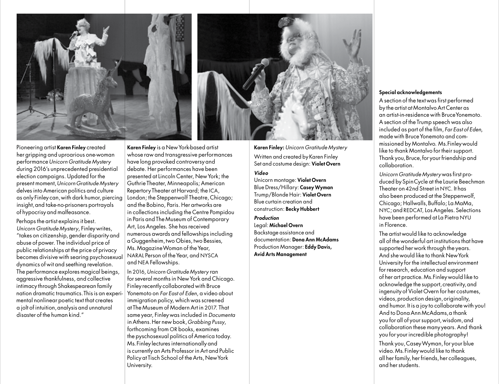

Pioneering artist Karen Finley created her gripping and uproarious one-woman performance*Unicorn Gratitude Mystery* during 2016's unprecedented presidential election campaigns. Updated for the present moment,*UnicornGratitude Mystery* delves into American politics and culture as only Finley can, with dark humor, piercing insight, and take-no-prisoners portrayals of hypocrisy and malfeasance.

Perhaps the artist explains it best. *Unicorn Gratitude Mystery*, Finleywrites, "takes on citizenship,gender disparity and abuse of power. The individual price of public relationships at the price of privacy becomes divisive with searing psychosexual dynamics of wit and seething revelation. The performance explores magical beings, aggressive thankfulness, and collective intimacy through Shakespearean family nation dramatic traumatics. This is an experimental nonlinear poetic text that creates a jolt of intuition,analysis and unnatural disaster of the human kind."

Karen Finley is a NewYork-based artist whose raw and transgressive performances have long provoked controversy and debate. Her performances have been presented at Lincoln Center, NewYork; the Guthrie Theater, Minneapolis;American RepertoryTheater at Harvard; the ICA, London; the Steppenwolf Theatre,Chicago; and the Bobino, Paris. Her artworks are in collections including the Centre Pompidou in Paris and The Museum of Contemporary Art, LosAngeles. She hasreceived numerous awards and fellowshipsincluding a Guggenheim,two Obies, two Bessies, Ms. MagazineWoman of theYear, NARAL Person of the Year, and NYSCA and NEA Fellowships.

In 2016,*Unicorn Gratitude Mystery* ran for several months in New York and Chicago. Finley recently collaborated with Bruce Yonemoto on *Far East of Eden*, a video about immigration policy, which was screened at The Museum of ModernArt in 2017. That same year, Finleywasincluded in *Documenta* inAthens.Her new book,*Grabbing Pussy*, forthcoming from OR books, examines the pyschosexual politics of America today. Ms. Finley lectures internationally and is currently an Arts Professor in Art and Public Policy at Tisch School of the Arts, New York University.

Karen Finley: *Unicorn Gratitude Mystery* Written and created byKaren Finley Set and costume design: Violet Overn

#### *Video*

Unicorn montage: Violet Overn Blue Dress/Hillary: Casey Wyman Trump/Blonde Hair: Violet Overn Blue curtain creation and construction: Becky Hubbert

#### *Production*

Legal: Michael Overn Backstage assistance and documentation: Dona Ann McAdams Production Manager: Eddy Davis, Avid Arts Management

### Special acknowledgements

A section of the text was first performed by the artist at MontalvoArt Center as an artist-in-residence with BruceYonemoto. A section of the Trump speech was also included as part of the film, *Far East of Eden*, made with Bruce Yonemoto and commissioned by Montalvo. Ms.Finleywould like to thank Montalvo for their support. Thank you,Bruce,for your friendship and collaboration.

*Unicorn Gratitude Mystery* was first produced by SpinCycle at the Laurie Beechman Theater on 42nd Street in NYC. It has also been produced at the Steppenwolf, Chicago; Hallwalls,Buffalo; La MaMa, NYC; and REDCAT, LosAngeles. Selections have been performed at La Pietra NYU in Florence.

The artist would like to acknowledge all of the wonderful art institutions that have supported herwork through the years. And she would like to thank NewYork University for the intellectual environment for research, education and support of her art practice. Ms.Finleywould like to acknowledge the support, creativity, and ingenuity of Violet Overn for her costumes, videos,production design,originality, and humor. It is a joy to collaborate with you! And to DonaAnn McAdams,a thank you for all of yoursupport,wisdom,and collaboration these many years.And thank you for your incredible photography!

Thank you,CaseyWyman,for your blue video. Ms.Finleywould like to thank all her family, her friends, her colleagues, and herstudents.